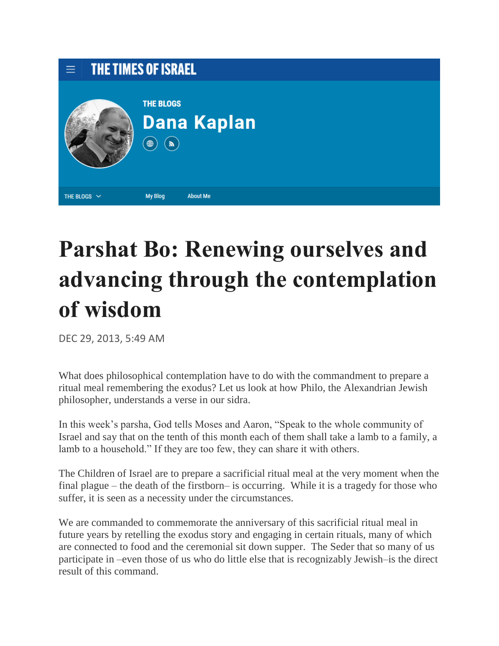

## **Parshat Bo: Renewing ourselves and advancing through the contemplation of wisdom**

DEC 29, 2013, 5:49 AM

What does philosophical contemplation have to do with the commandment to prepare a ritual meal remembering the exodus? Let us look at how Philo, the Alexandrian Jewish philosopher, understands a verse in our sidra.

In this week's parsha, God tells Moses and Aaron, "Speak to the whole community of Israel and say that on the tenth of this month each of them shall take a lamb to a family, a lamb to a household." If they are too few, they can share it with others.

The Children of Israel are to prepare a sacrificial ritual meal at the very moment when the final plague – the death of the firstborn– is occurring. While it is a tragedy for those who suffer, it is seen as a necessity under the circumstances.

We are commanded to commemorate the anniversary of this sacrificial ritual meal in future years by retelling the exodus story and engaging in certain rituals, many of which are connected to food and the ceremonial sit down supper. The Seder that so many of us participate in –even those of us who do little else that is recognizably Jewish–is the direct result of this command.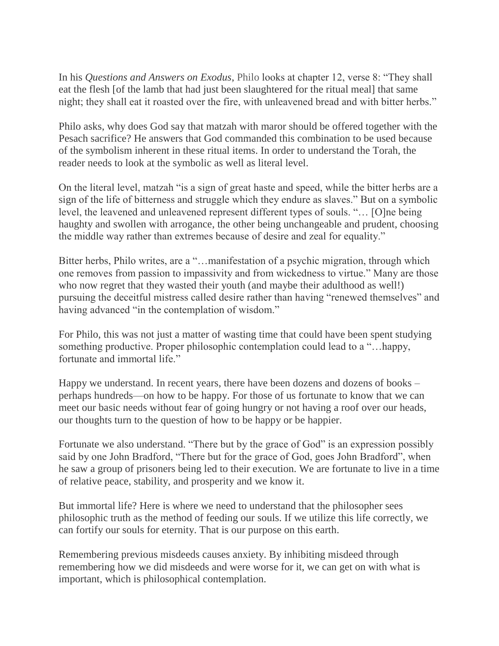In his *Questions and Answers on Exodus*, [Philo](https://en.wikipedia.org/wiki/Philo) looks at chapter 12, verse 8: "They shall eat the flesh [of the lamb that had just been slaughtered for the ritual meal] that same night; they shall eat it roasted over the fire, with unleavened bread and with bitter herbs."

Philo asks, why does God say that matzah with maror should be offered together with the Pesach sacrifice? He answers that God commanded this combination to be used because of the symbolism inherent in these ritual items. In order to understand the Torah, the reader needs to look at the symbolic as well as literal level.

On the literal level, matzah "is a sign of great haste and speed, while the bitter herbs are a sign of the life of bitterness and struggle which they endure as slaves." But on a symbolic level, the leavened and unleavened represent different types of souls. "… [O]ne being haughty and swollen with arrogance, the other being unchangeable and prudent, choosing the middle way rather than extremes because of desire and zeal for equality."

Bitter herbs, Philo writes, are a "…manifestation of a psychic migration, through which one removes from passion to impassivity and from wickedness to virtue." Many are those who now regret that they wasted their youth (and maybe their adulthood as well!) pursuing the deceitful mistress called desire rather than having "renewed themselves" and having advanced "in the contemplation of wisdom."

For Philo, this was not just a matter of wasting time that could have been spent studying something productive. Proper philosophic contemplation could lead to a "…happy, fortunate and immortal life."

Happy we understand. In recent years, there have been dozens and dozens of books – perhaps hundreds—on how to be happy. For those of us fortunate to know that we can meet our basic needs without fear of going hungry or not having a roof over our heads, our thoughts turn to the question of how to be happy or be happier.

Fortunate we also understand. "There but by the grace of God" is an expression possibly said by one John Bradford, "There but for the grace of God, goes John Bradford", when he saw a group of prisoners being led to their execution. We are fortunate to live in a time of relative peace, stability, and prosperity and we know it.

But immortal life? Here is where we need to understand that the philosopher sees philosophic truth as the method of feeding our souls. If we utilize this life correctly, we can fortify our souls for eternity. That is our purpose on this earth.

Remembering previous misdeeds causes anxiety. By inhibiting misdeed through remembering how we did misdeeds and were worse for it, we can get on with what is important, which is philosophical contemplation.